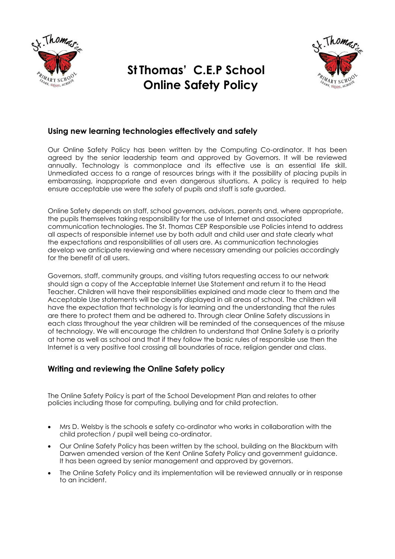

# **St Thomas' C.E.P School Online Safety Policy**



# **Using new learning technologies effectively and safely**

Our Online Safety Policy has been written by the Computing Co-ordinator. It has been agreed by the senior leadership team and approved by Governors. It will be reviewed annually. Technology is commonplace and its effective use is an essential life skill. Unmediated access to a range of resources brings with it the possibility of placing pupils in embarrassing, inappropriate and even dangerous situations. A policy is required to help ensure acceptable use were the safety of pupils and staff is safe guarded.

Online Safety depends on staff, school governors, advisors, parents and, where appropriate, the pupils themselves taking responsibility for the use of Internet and associated communication technologies. The St. Thomas CEP Responsible use Policies intend to address all aspects of responsible internet use by both adult and child user and state clearly what the expectations and responsibilities of all users are. As communication technologies develop we anticipate reviewing and where necessary amending our policies accordingly for the benefit of all users.

Governors, staff, community groups, and visiting tutors requesting access to our network should sign a copy of the Acceptable Internet Use Statement and return it to the Head Teacher. Children will have their responsibilities explained and made clear to them and the Acceptable Use statements will be clearly displayed in all areas of school. The children will have the expectation that technology is for learning and the understanding that the rules are there to protect them and be adhered to. Through clear Online Safety discussions in each class throughout the year children will be reminded of the consequences of the misuse of technology. We will encourage the children to understand that Online Safety is a priority at home as well as school and that if they follow the basic rules of responsible use then the Internet is a very positive tool crossing all boundaries of race, religion gender and class.

# **Writing and reviewing the Online Safety policy**

The Online Safety Policy is part of the School Development Plan and relates to other policies including those for computing, bullying and for child protection.

- Mrs D. Welsby is the schools e safety co-ordinator who works in collaboration with the child protection / pupil well being co-ordinator.
- Our Online Safety Policy has been written by the school, building on the Blackburn with Darwen amended version of the Kent Online Safety Policy and government guidance. It has been agreed by senior management and approved by governors.
- The Online Safety Policy and its implementation will be reviewed annually or in response to an incident.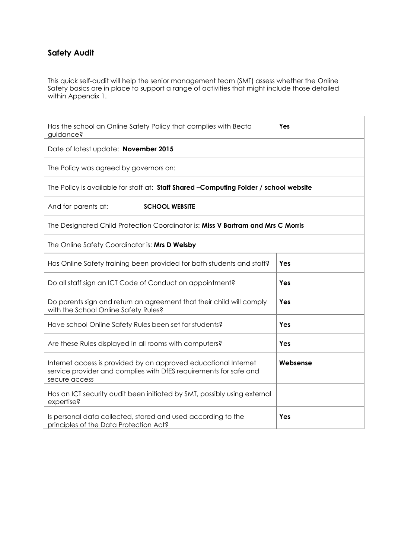# **Safety Audit**

This quick self-audit will help the senior management team (SMT) assess whether the Online Safety basics are in place to support a range of activities that might include those detailed within Appendix 1.

| Has the school an Online Safety Policy that complies with Becta<br>guidance?                                                                          | Yes      |  |  |  |
|-------------------------------------------------------------------------------------------------------------------------------------------------------|----------|--|--|--|
| Date of latest update: November 2015                                                                                                                  |          |  |  |  |
| The Policy was agreed by governors on:                                                                                                                |          |  |  |  |
| The Policy is available for staff at: Staff Shared -Computing Folder / school website                                                                 |          |  |  |  |
| And for parents at:<br><b>SCHOOL WEBSITE</b>                                                                                                          |          |  |  |  |
| The Designated Child Protection Coordinator is: Miss V Bartram and Mrs C Morris                                                                       |          |  |  |  |
| The Online Safety Coordinator is: Mrs D Welsby                                                                                                        |          |  |  |  |
| Has Online Safety training been provided for both students and staff?                                                                                 | Yes      |  |  |  |
| Do all staff sign an ICT Code of Conduct on appointment?                                                                                              | Yes      |  |  |  |
| Do parents sign and return an agreement that their child will comply<br>with the School Online Safety Rules?                                          | Yes      |  |  |  |
| Have school Online Safety Rules been set for students?                                                                                                | Yes      |  |  |  |
| Are these Rules displayed in all rooms with computers?                                                                                                | Yes      |  |  |  |
| Internet access is provided by an approved educational Internet<br>service provider and complies with DfES requirements for safe and<br>secure access | Websense |  |  |  |
| Has an ICT security audit been initiated by SMT, possibly using external<br>expertise?                                                                |          |  |  |  |
| Is personal data collected, stored and used according to the<br>principles of the Data Protection Act?                                                | Yes      |  |  |  |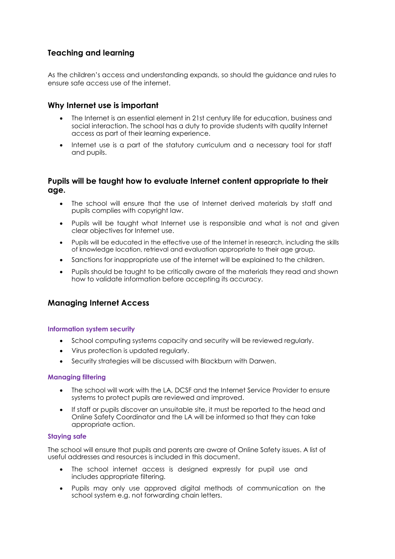# **Teaching and learning**

As the children's access and understanding expands, so should the guidance and rules to ensure safe access use of the internet.

## **Why Internet use is important**

- The Internet is an essential element in 21st century life for education, business and social interaction. The school has a duty to provide students with quality Internet access as part of their learning experience.
- Internet use is a part of the statutory curriculum and a necessary tool for staff and pupils.

## **Pupils will be taught how to evaluate Internet content appropriate to their age.**

- The school will ensure that the use of Internet derived materials by staff and pupils complies with copyright law.
- Pupils will be taught what Internet use is responsible and what is not and given clear objectives for Internet use.
- Pupils will be educated in the effective use of the Internet in research, including the skills of knowledge location, retrieval and evaluation appropriate to their age group.
- Sanctions for inappropriate use of the internet will be explained to the children.
- Pupils should be taught to be critically aware of the materials they read and shown how to validate information before accepting its accuracy.

## **Managing Internet Access**

## **Information system security**

- School computing systems capacity and security will be reviewed regularly.
- Virus protection is updated regularly.
- Security strategies will be discussed with Blackburn with Darwen.

#### **Managing filtering**

- The school will work with the LA, DCSF and the Internet Service Provider to ensure systems to protect pupils are reviewed and improved.
- If staff or pupils discover an unsuitable site, it must be reported to the head and Online Safety Coordinator and the LA will be informed so that they can take appropriate action.

#### **Staying safe**

The school will ensure that pupils and parents are aware of Online Safety issues. A list of useful addresses and resources is included in this document.

- The school internet access is designed expressly for pupil use and includes appropriate filtering.
- Pupils may only use approved digital methods of communication on the school system e.g. not forwarding chain letters.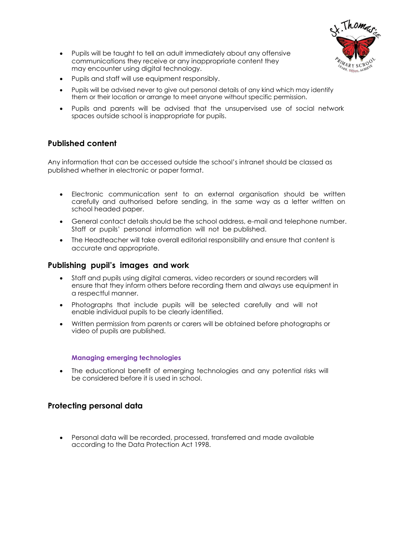

- Pupils will be taught to tell an adult immediately about any offensive communications they receive or any inappropriate content they may encounter using digital technology.
- Pupils and staff will use equipment responsibly.
- Pupils will be advised never to give out personal details of any kind which may identify them or their location or arrange to meet anyone without specific permission.
- Pupils and parents will be advised that the unsupervised use of social network spaces outside school is inappropriate for pupils.

## **Published content**

Any information that can be accessed outside the school's intranet should be classed as published whether in electronic or paper format.

- Electronic communication sent to an external organisation should be written carefully and authorised before sending, in the same way as a letter written on school headed paper.
- General contact details should be the school address, e-mail and telephone number. Staff or pupils' personal information will not be published.
- The Headteacher will take overall editorial responsibility and ensure that content is accurate and appropriate.

## **Publishing pupil's images and work**

- Staff and pupils using digital cameras, video recorders or sound recorders will ensure that they inform others before recording them and always use equipment in a respectful manner.
- Photographs that include pupils will be selected carefully and will not enable individual pupils to be clearly identified.
- Written permission from parents or carers will be obtained before photographs or video of pupils are published.

## **Managing emerging technologies**

 The educational benefit of emerging technologies and any potential risks will be considered before it is used in school.

## **Protecting personal data**

 Personal data will be recorded, processed, transferred and made available according to the Data Protection Act 1998.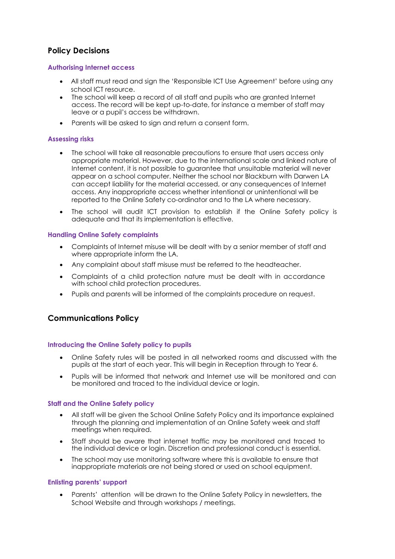# **Policy Decisions**

#### **Authorising Internet access**

- All staff must read and sign the 'Responsible ICT Use Agreement' before using any school ICT resource.
- The school will keep a record of all staff and pupils who are granted Internet access. The record will be kept up-to-date, for instance a member of staff may leave or a pupil's access be withdrawn.
- Parents will be asked to sign and return a consent form.

#### **Assessing risks**

- The school will take all reasonable precautions to ensure that users access only appropriate material. However, due to the international scale and linked nature of Internet content, it is not possible to guarantee that unsuitable material will never appear on a school computer. Neither the school nor Blackburn with Darwen LA can accept liability for the material accessed, or any consequences of Internet access. Any inappropriate access whether intentional or unintentional will be reported to the Online Safety co-ordinator and to the LA where necessary.
- The school will audit ICT provision to establish if the Online Safety policy is adequate and that its implementation is effective.

#### **Handling Online Safety complaints**

- Complaints of Internet misuse will be dealt with by a senior member of staff and where appropriate inform the LA.
- Any complaint about staff misuse must be referred to the headteacher.
- Complaints of a child protection nature must be dealt with in accordance with school child protection procedures.
- Pupils and parents will be informed of the complaints procedure on request.

## **Communications Policy**

#### **Introducing the Online Safety policy to pupils**

- Online Safety rules will be posted in all networked rooms and discussed with the pupils at the start of each year. This will begin in Reception through to Year 6.
- Pupils will be informed that network and Internet use will be monitored and can be monitored and traced to the individual device or login.

#### **Staff and the Online Safety policy**

- All staff will be given the School Online Safety Policy and its importance explained through the planning and implementation of an Online Safety week and staff meetings when required.
- Staff should be aware that internet traffic may be monitored and traced to the individual device or login. Discretion and professional conduct is essential.
- The school may use monitoring software where this is available to ensure that inappropriate materials are not being stored or used on school equipment.

#### **Enlisting parents' support**

 Parents' attention will be drawn to the Online Safety Policy in newsletters, the School Website and through workshops / meetings.